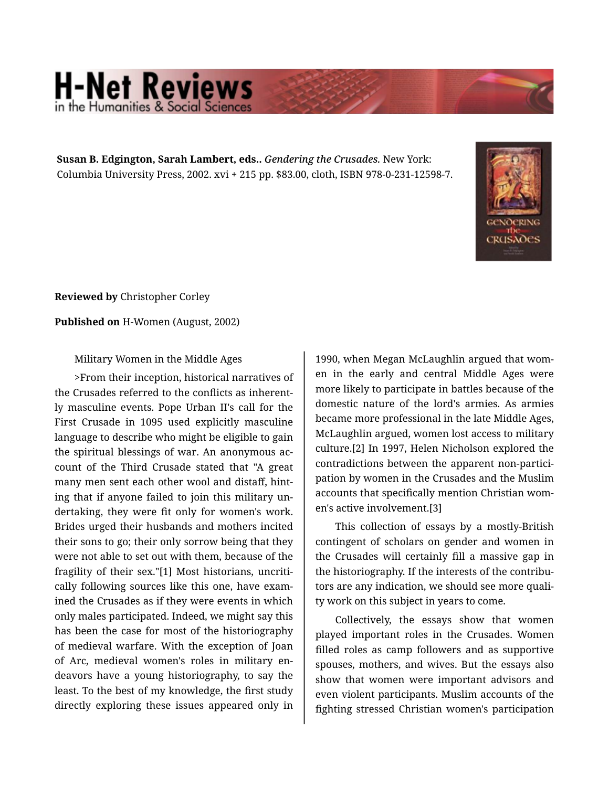## **H-Net Reviews** in the Humanities & Social S

**Susan B. Edgington, Sarah Lambert, eds..** *Gendering the Crusades.* New York: Columbia University Press, 2002. xvi + 215 pp. \$83.00, cloth, ISBN 978-0-231-12598-7.



**Reviewed by** Christopher Corley

**Published on** H-Women (August, 2002)

Military Women in the Middle Ages

>From their inception, historical narratives of the Crusades referred to the conflicts as inherent‐ ly masculine events. Pope Urban II's call for the First Crusade in 1095 used explicitly masculine language to describe who might be eligible to gain the spiritual blessings of war. An anonymous ac‐ count of the Third Crusade stated that "A great many men sent each other wool and distaff, hint‐ ing that if anyone failed to join this military un‐ dertaking, they were fit only for women's work. Brides urged their husbands and mothers incited their sons to go; their only sorrow being that they were not able to set out with them, because of the fragility of their sex."[1] Most historians, uncriti‐ cally following sources like this one, have exam‐ ined the Crusades as if they were events in which only males participated. Indeed, we might say this has been the case for most of the historiography of medieval warfare. With the exception of Joan of Arc, medieval women's roles in military en‐ deavors have a young historiography, to say the least. To the best of my knowledge, the first study directly exploring these issues appeared only in

1990, when Megan McLaughlin argued that wom‐ en in the early and central Middle Ages were more likely to participate in battles because of the domestic nature of the lord's armies. As armies became more professional in the late Middle Ages, McLaughlin argued, women lost access to military culture.[2] In 1997, Helen Nicholson explored the contradictions between the apparent non-partici‐ pation by women in the Crusades and the Muslim accounts that specifically mention Christian wom‐ en's active involvement.[3]

This collection of essays by a mostly-British contingent of scholars on gender and women in the Crusades will certainly fill a massive gap in the historiography. If the interests of the contribu‐ tors are any indication, we should see more quali‐ ty work on this subject in years to come.

Collectively, the essays show that women played important roles in the Crusades. Women filled roles as camp followers and as supportive spouses, mothers, and wives. But the essays also show that women were important advisors and even violent participants. Muslim accounts of the fighting stressed Christian women's participation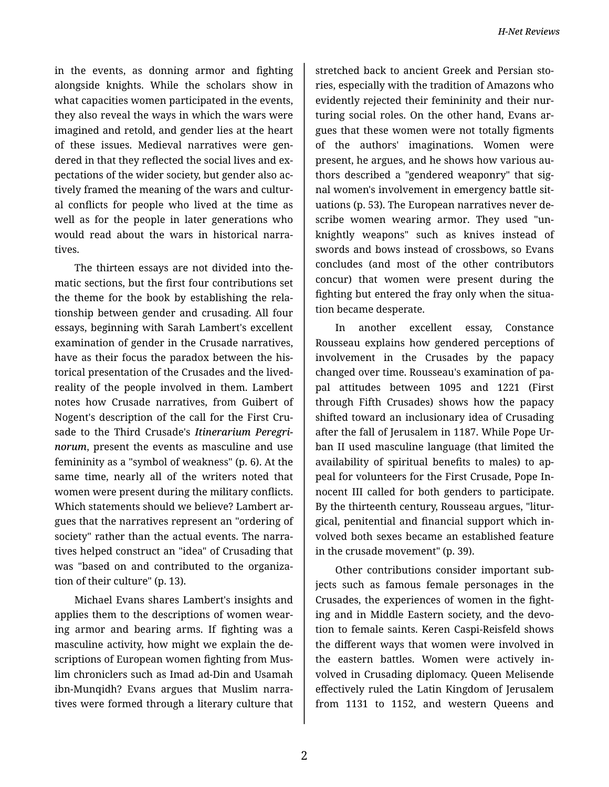in the events, as donning armor and fighting alongside knights. While the scholars show in what capacities women participated in the events, they also reveal the ways in which the wars were imagined and retold, and gender lies at the heart of these issues. Medieval narratives were gen‐ dered in that they reflected the social lives and ex‐ pectations of the wider society, but gender also ac‐ tively framed the meaning of the wars and cultur‐ al conflicts for people who lived at the time as well as for the people in later generations who would read about the wars in historical narra‐ tives.

The thirteen essays are not divided into the‐ matic sections, but the first four contributions set the theme for the book by establishing the rela‐ tionship between gender and crusading. All four essays, beginning with Sarah Lambert's excellent examination of gender in the Crusade narratives, have as their focus the paradox between the his‐ torical presentation of the Crusades and the livedreality of the people involved in them. Lambert notes how Crusade narratives, from Guibert of Nogent's description of the call for the First Cru‐ sade to the Third Crusade's *Itinerarium Peregri‐ norum*, present the events as masculine and use femininity as a "symbol of weakness" (p. 6). At the same time, nearly all of the writers noted that women were present during the military conflicts. Which statements should we believe? Lambert ar‐ gues that the narratives represent an "ordering of society" rather than the actual events. The narra‐ tives helped construct an "idea" of Crusading that was "based on and contributed to the organiza‐ tion of their culture" (p. 13).

Michael Evans shares Lambert's insights and applies them to the descriptions of women wear‐ ing armor and bearing arms. If fighting was a masculine activity, how might we explain the de‐ scriptions of European women fighting from Mus‐ lim chroniclers such as Imad ad-Din and Usamah ibn-Munqidh? Evans argues that Muslim narra‐ tives were formed through a literary culture that

stretched back to ancient Greek and Persian sto‐ ries, especially with the tradition of Amazons who evidently rejected their femininity and their nur‐ turing social roles. On the other hand, Evans ar‐ gues that these women were not totally figments of the authors' imaginations. Women were present, he argues, and he shows how various au‐ thors described a "gendered weaponry" that sig‐ nal women's involvement in emergency battle sit‐ uations (p. 53). The European narratives never de‐ scribe women wearing armor. They used "un‐ knightly weapons" such as knives instead of swords and bows instead of crossbows, so Evans concludes (and most of the other contributors concur) that women were present during the fighting but entered the fray only when the situa‐ tion became desperate.

In another excellent essay, Constance Rousseau explains how gendered perceptions of involvement in the Crusades by the papacy changed over time. Rousseau's examination of pa‐ pal attitudes between 1095 and 1221 (First through Fifth Crusades) shows how the papacy shifted toward an inclusionary idea of Crusading after the fall of Jerusalem in 1187. While Pope Ur‐ ban II used masculine language (that limited the availability of spiritual benefits to males) to ap‐ peal for volunteers for the First Crusade, Pope In‐ nocent III called for both genders to participate. By the thirteenth century, Rousseau argues, "litur‐ gical, penitential and financial support which in‐ volved both sexes became an established feature in the crusade movement" (p. 39).

Other contributions consider important sub‐ jects such as famous female personages in the Crusades, the experiences of women in the fight‐ ing and in Middle Eastern society, and the devo‐ tion to female saints. Keren Caspi-Reisfeld shows the different ways that women were involved in the eastern battles. Women were actively in‐ volved in Crusading diplomacy. Queen Melisende effectively ruled the Latin Kingdom of Jerusalem from 1131 to 1152, and western Queens and

2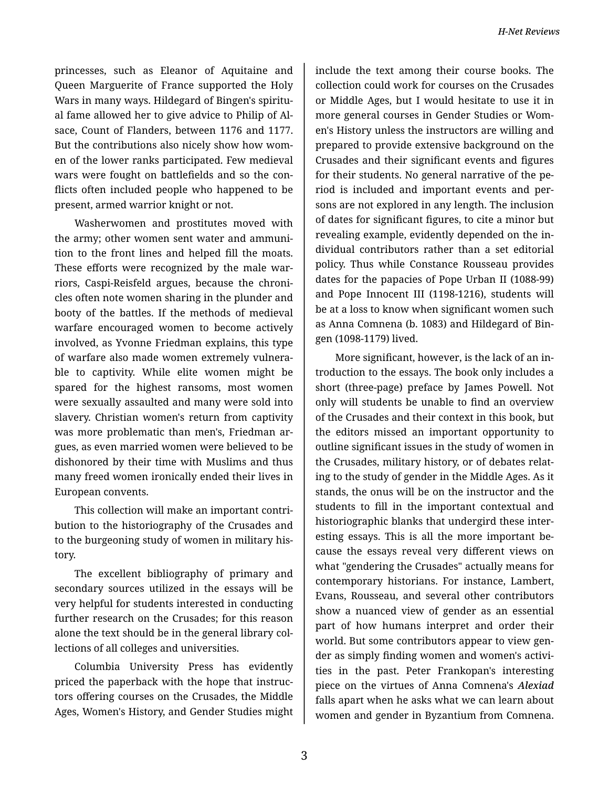princesses, such as Eleanor of Aquitaine and Queen Marguerite of France supported the Holy Wars in many ways. Hildegard of Bingen's spiritu‐ al fame allowed her to give advice to Philip of Al‐ sace, Count of Flanders, between 1176 and 1177. But the contributions also nicely show how wom‐ en of the lower ranks participated. Few medieval wars were fought on battlefields and so the con‐ flicts often included people who happened to be present, armed warrior knight or not.

Washerwomen and prostitutes moved with the army; other women sent water and ammuni‐ tion to the front lines and helped fill the moats. These efforts were recognized by the male war‐ riors, Caspi-Reisfeld argues, because the chroni‐ cles often note women sharing in the plunder and booty of the battles. If the methods of medieval warfare encouraged women to become actively involved, as Yvonne Friedman explains, this type of warfare also made women extremely vulnera‐ ble to captivity. While elite women might be spared for the highest ransoms, most women were sexually assaulted and many were sold into slavery. Christian women's return from captivity was more problematic than men's, Friedman ar‐ gues, as even married women were believed to be dishonored by their time with Muslims and thus many freed women ironically ended their lives in European convents.

This collection will make an important contri‐ bution to the historiography of the Crusades and to the burgeoning study of women in military his‐ tory.

The excellent bibliography of primary and secondary sources utilized in the essays will be very helpful for students interested in conducting further research on the Crusades; for this reason alone the text should be in the general library col‐ lections of all colleges and universities.

Columbia University Press has evidently priced the paperback with the hope that instruc‐ tors offering courses on the Crusades, the Middle Ages, Women's History, and Gender Studies might

include the text among their course books. The collection could work for courses on the Crusades or Middle Ages, but I would hesitate to use it in more general courses in Gender Studies or Wom‐ en's History unless the instructors are willing and prepared to provide extensive background on the Crusades and their significant events and figures for their students. No general narrative of the pe‐ riod is included and important events and per‐ sons are not explored in any length. The inclusion of dates for significant figures, to cite a minor but revealing example, evidently depended on the in‐ dividual contributors rather than a set editorial policy. Thus while Constance Rousseau provides dates for the papacies of Pope Urban II (1088-99) and Pope Innocent III (1198-1216), students will be at a loss to know when significant women such as Anna Comnena (b. 1083) and Hildegard of Bin‐ gen (1098-1179) lived.

More significant, however, is the lack of an in‐ troduction to the essays. The book only includes a short (three-page) preface by James Powell. Not only will students be unable to find an overview of the Crusades and their context in this book, but the editors missed an important opportunity to outline significant issues in the study of women in the Crusades, military history, or of debates relat‐ ing to the study of gender in the Middle Ages. As it stands, the onus will be on the instructor and the students to fill in the important contextual and historiographic blanks that undergird these inter‐ esting essays. This is all the more important be‐ cause the essays reveal very different views on what "gendering the Crusades" actually means for contemporary historians. For instance, Lambert, Evans, Rousseau, and several other contributors show a nuanced view of gender as an essential part of how humans interpret and order their world. But some contributors appear to view gen‐ der as simply finding women and women's activi‐ ties in the past. Peter Frankopan's interesting piece on the virtues of Anna Comnena's *Alexiad* falls apart when he asks what we can learn about women and gender in Byzantium from Comnena.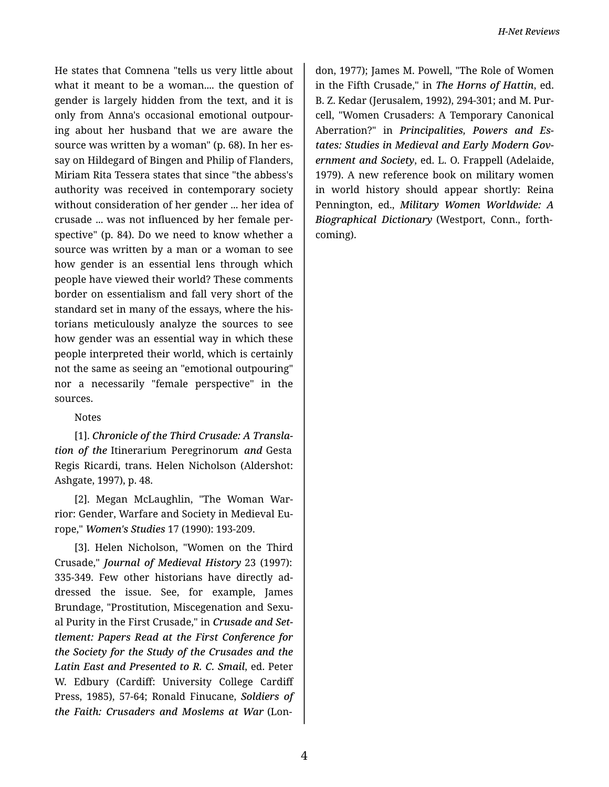He states that Comnena "tells us very little about what it meant to be a woman.... the question of gender is largely hidden from the text, and it is only from Anna's occasional emotional outpour‐ ing about her husband that we are aware the source was written by a woman" (p. 68). In her es‐ say on Hildegard of Bingen and Philip of Flanders, Miriam Rita Tessera states that since "the abbess's authority was received in contemporary society without consideration of her gender ... her idea of crusade ... was not influenced by her female per‐ spective" (p. 84). Do we need to know whether a source was written by a man or a woman to see how gender is an essential lens through which people have viewed their world? These comments border on essentialism and fall very short of the standard set in many of the essays, where the his‐ torians meticulously analyze the sources to see how gender was an essential way in which these people interpreted their world, which is certainly not the same as seeing an "emotional outpouring" nor a necessarily "female perspective" in the sources.

## Notes

[1]. *Chronicle of the Third Crusade: A Transla‐ tion of the* Itinerarium Peregrinorum *and* Gesta Regis Ricardi, trans. Helen Nicholson (Aldershot: Ashgate, 1997), p. 48.

[2]. Megan McLaughlin, "The Woman War‐ rior: Gender, Warfare and Society in Medieval Eu‐ rope," *Women's Studies* 17 (1990): 193-209.

[3]. Helen Nicholson, "Women on the Third Crusade," *Journal of Medieval History* 23 (1997): 335-349. Few other historians have directly ad‐ dressed the issue. See, for example, James Brundage, "Prostitution, Miscegenation and Sexu‐ al Purity in the First Crusade," in *Crusade and Set‐ tlement: Papers Read at the First Conference for the Society for the Study of the Crusades and the Latin East and Presented to R. C. Smail*, ed. Peter W. Edbury (Cardiff: University College Cardiff Press, 1985), 57-64; Ronald Finucane, *Soldiers of the Faith: Crusaders and Moslems at War* (Lon‐

don, 1977); James M. Powell, "The Role of Women in the Fifth Crusade," in *The Horns of Hattin*, ed. B. Z. Kedar (Jerusalem, 1992), 294-301; and M. Pur‐ cell, "Women Crusaders: A Temporary Canonical Aberration?" in *Principalities, Powers and Es‐ tates: Studies in Medieval and Early Modern Gov‐ ernment and Society*, ed. L. O. Frappell (Adelaide, 1979). A new reference book on military women in world history should appear shortly: Reina Pennington, ed., *Military Women Worldwide: A Biographical Dictionary* (Westport, Conn., forth‐ coming).